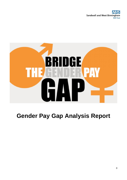**Sandwell and West Birmingham NHS Trust** 



# **Gender Pay Gap Analysis Report**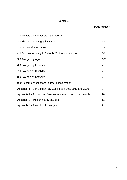# **Contents**

# Page number

| 1.0 What is the gender pay gap report?                           | $\overline{2}$ |
|------------------------------------------------------------------|----------------|
| 2.0 The gender pay gap indicators                                | $2 - 3$        |
| 3.0 Our workforce context                                        | $4 - 5$        |
| 4.0 Our results using 31 <sup>st</sup> March 2021 as a snap shot | $5-6$          |
| 5.0 Pay gap by Age                                               | $6 - 7$        |
| 6.0 Pay gap by Ethnicity                                         | $\overline{7}$ |
| 7.0 Pay gap by Disability                                        | $\overline{7}$ |
| 8.0 Pay gap by Sexuality                                         | $\overline{7}$ |
| 9. 0 Recommendations for further consideration                   | 8              |
| Appendix 1 - Our Gender Pay Gap Report Data 2019 and 2020        | 9              |
| Appendix 2 – Proportion of women and men in each pay quartile    | 10             |
| Appendix 3 - Median hourly pay gap                               | 11             |
| Appendix 4 – Mean hourly pay gap                                 | 12             |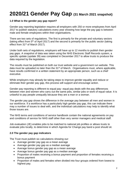# **2020/21 Gender Pay Gap (31 March 2021 snapshot)**

## **1.0 What is the gender pay gap report?**

Gender pay reporting legislation requires all employers with 250 or more employees from April 2017 to publish statutory calculations every year showing how large the pay gap is between male and female employees within their organisations.

There are two sets of regulations. The first is primarily for the private and voluntary sectors (taking effect from  $5<sup>th</sup>$  of April 2017) and the second is primarily for the public sector (taking effect from 31<sup>st</sup> of March 2017).

Under both sets of regulations, employers will have up to 12 months to publish their gender pay gaps. A snapshot of data was taken using the NHS Electronic Staff Records system, a specific update (update 39) was completed in December 2017 to allow trusts to produce the data required by the legislation.

The results must be published on both our trust website and a government run website. This data must be uploaded no later than the 31<sup>st</sup> of March. Organisations must, where applicable, have results confirmed in a written statement by an appropriate person, such as a chief executive.

While employers may already be taking steps to improve gender equality and reduce or eliminate their gender pay gap, this process will support and encourage action.

Gender pay reporting is different to equal pay- equal pay deals with the pay differences between men and women who carry out the same jobs, similar jobs or work of equal value. It is unlawful to pay people unequally because they are a man or a woman.

The gender pay gap shows the difference in the average pay between all men and women in our workforce. If a workforce has a particularly high gender pay gap, this can indicate there may a number of issues to deal with, and the individual calculations may help to identify what those issues are.

The NHS terms and conditions of service handbook contain the national agreements on pay and conditions of service for NHS staff other than very senior managers and medical staff.

Job evaluation (JE) enables jobs to be matched to national job profiles or allows trusts to evaluate jobs locally, to determine in which Agenda for Change pay band a post should sit.

## **2.0 The gender pay gap indicators**

The Trust must publish six calculations showing our:

- Average gender pay gap as a mean average
- Average gender pay gap as a median average
- Average bonus gender pay gap as a mean average
- Average bonus gender pay gap as a median average
- Proportion of males receiving a bonus payment and proportion of females receiving a bonus payment
- Proportion of males and females when divided into four groups ordered from lowest to highest pay.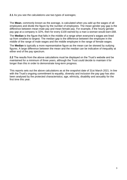**2.1** As you see the calculations use two types of averages;

The **Mean**, commonly known as the average, is calculated when you add up the wages of all employees and divide the figure by the number of employees. The mean gender pay gap is the difference between mean male pay and mean female pay. For example, if the hourly gender pay gap at a company is 32%, then for every £100 earned by a man a woman would earn £68.

The **Median** is the figure that falls in the middle of a range when everyone's wages are lined up from smallest to largest. The median gap is the difference between the employee in the middle of the range of male wages and the middle employee in the range of female wages.

The **Median** is typically a more representative figure as the mean can be skewed by outlying figures. A large difference between the mean and the median can be indicative of inequality at either end of the pay spectrum.

**2.2** The results from the above calculations must be displayed on the Trust's website and be maintained for a minimum of three years, although the Trust could decide to maintain it for longer than this in order to demonstrate long-term progress.

This reports sets out the above calculations as at the snapshot date of 31st March 2021. In line with the Trust's ongoing commitment to equality, diversity and inclusion the pay gap has also been analysed by the protected characteristics; age, ethnicity, disability and sexuality for the first time this year.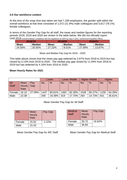## **3.0 Our workforce context**

At the time of the snap shot was taken we had 7,189 employees, the gender split within the overall workforce at that time consisted of 1,572 (21.9%) male colleagues and 5,617 (78.1%) female colleagues.

In terms of the Gender Pay Gap for all staff, the mean and median figures for the reporting periods 2018, 2019 and 2020 are shown in the table below. We did not officially report Until 2018 (overall employer compliance with the regulations at 100% by Aug 1<sup>st</sup> 2018 –Government Equalities Office)

| 2018/19     |               | 2019/20     |               | 2020/21     |               |
|-------------|---------------|-------------|---------------|-------------|---------------|
| <b>Mean</b> | <b>Median</b> | <b>Mean</b> | <b>Median</b> | <b>Mean</b> | <b>Median</b> |
| 24.55%      | 20.55%        | 27.22%      | 9.51%         | 27.09%      | 13.67%        |

Mean and Median Pay Gap for 2018 – 2020

This table above shows that the mean pay gap widened by 2.67% from 2018 to 2019 but has closed by 0.13% from 2019 to 2020. The median pay gap closed by 11.04% from 2018 to 2019 but has widened by 4.16% from 2019 to 2020.

## **Mean Hourly Rates for 2021**

|                     |                        |            |      | Lower  |      | <b>Lower Middle</b> |      | <b>Higher Middle</b> |      | Higher        |
|---------------------|------------------------|------------|------|--------|------|---------------------|------|----------------------|------|---------------|
| All<br><b>Staff</b> | Mean<br>Hourly<br>Rate | Pay<br>Gap | No.  | $\%$   | No.  | $\%$                | No.  | $\frac{9}{6}$        | No.  | $\frac{9}{6}$ |
| Female              | 16.10                  | 27.09%     | 1447 | 80.61% | 1483 | 82.30%              | 1528 | 85.27%               | 1159 | 64.29%        |
| Male                | 22.08                  |            | 348  | 19.39% | 319  | 17.70%              | 264  | 14.73%               | 641  | 35.61%        |

## Mean Gender Pay Gap for All Staff

| <b>AfC</b> | Mean<br>Hourly<br>Rate | Pay Gap  |
|------------|------------------------|----------|
| Female     | 15.52                  | $-1.22%$ |
| Male       | 15.33                  |          |

| <b>Medical</b><br><b>Staff</b> | <b>Mean</b><br>Hourly<br>Rate | Pay Gap |
|--------------------------------|-------------------------------|---------|
| Female                         | 30.72                         | 16.62%  |
| Male                           | 36.84                         |         |

Mean Gender Pay Gap for AfC Staff Mean Gender Pay Gap for Medical Staff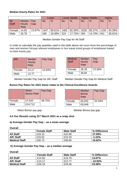## **Median Hourly Rates for 2021**

|        |                |        |      | Lower  |      | <b>Lower Middle</b> |      | <b>Higher Middle</b> |      | <b>Higher</b> |
|--------|----------------|--------|------|--------|------|---------------------|------|----------------------|------|---------------|
| AII    | <b>Median</b>  | Pav    | No.  | $\%$   | No.  | $\%$                | No.  | $\frac{0}{0}$        | No.  | $\frac{9}{6}$ |
| Staff  | Hourly<br>Rate | Gap    |      |        |      |                     |      |                      |      |               |
|        |                |        |      |        |      |                     |      |                      |      |               |
| Female | 14.50          | 13.67% | 1447 | 80.61% | 1483 | 82.30%              | 1528 | 85.27%               | 1159 | 64.29%        |
| Male   | 16.79          |        | 348  | 19.39% | 319  | 17.70%              | 264  | 14.73%               | 641  | 35.61%        |

Median Gender Pay Gap for All Staff

In order to calculate the pay quartiles used in the table above we must show the percentage of men and women full-pay relevant employees in four equal sized groups of employees based on their hourly pay.

| AfC    | <b>Median</b><br><b>Hourly</b><br>Rate | Pay Gap |
|--------|----------------------------------------|---------|
| Female | 14.17                                  | 10.93%  |
| Male   | 12.77                                  |         |

| <b>Medical</b><br><b>Staff</b> | Median<br>Hourly<br>Rate | Pay<br>Gap |
|--------------------------------|--------------------------|------------|
| Female                         | 26.33                    | 23.58%     |
| Male                           | 36.84                    |            |

Median Gender Pay Gap for AfC Staff Median Gender Pay Gap for Medical Staff

## **Bonus Pay Rates for 2021 these relate to the Clinical Excellence Awards**

|        | <b>Mean</b><br><b>Bonus Rate</b> | Pay Gap |
|--------|----------------------------------|---------|
| Female | £7,544                           | 48.72%  |
| Male   | £14,712                          |         |

|        | <b>Median</b><br><b>Bonus</b><br>Rate | Pay Gap |
|--------|---------------------------------------|---------|
| Female | £6,032                                | 33.33%  |
| Male   | £9,048                                |         |

Mean Bonus pay gap Median Bonus pay gap

## **4.0 Our Results using 31st March 2021 as a snap shot**

## **a) Average Gender Pay Gap – as a mean average**

**Overall** 

|                      | <b>Female Staff</b> | <b>Male Staff</b> | % Difference |
|----------------------|---------------------|-------------------|--------------|
| <b>All Staff</b>     | £16.10              | £22.08            | 27.09%       |
| <b>AfC Staff</b>     | £15.52              | £15.33            | $-1.22%$     |
| <b>Medical Staff</b> | £30.72              | £36.84            | 16.62%       |

## **b) Average Gender Pay Gap – as a median average**

#### **Overall**

|                      | <b>Female Staff</b> | <b>Male Staff</b> | % Difference |
|----------------------|---------------------|-------------------|--------------|
| <b>All Staff</b>     | £14.50              | £16.79            | 13.67%       |
| <b>AfC Staff</b>     | £14.17              | £12.77            | $-10.93%$    |
| <b>Medical Staff</b> | £26.33              | £34.46            | 23.58%       |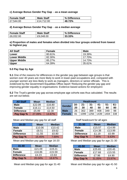## **c) Average Bonus Gender Pay Gap - as a mean average**

| <b>Female Staff</b> | <b>Male Staff</b> | % Difference |
|---------------------|-------------------|--------------|
| £7,544.00           | £14,712.00        | 48.72%       |

## **d) Average Bonus Gender Pay Gap - as a median average**

| <b>Female Staff</b> | <b>Male Staff</b> | % Difference |
|---------------------|-------------------|--------------|
| £6,032.00           | £9,048.00         | 33.33%       |

## **e) Proportion of males and females when divided into four groups ordered from lowest to highest pay**

| <b>All Staff</b>    | Female | <b>Male</b> |
|---------------------|--------|-------------|
| Lower               | 80.61% | 19.39%      |
| <b>Lower Middle</b> | 82.30% | $17.70\%$   |
| <b>Upper Middle</b> | 85.27% | 14.73%      |
| <b>Upper</b>        | 64.39% | $35.61\%$   |

## **5.0 Pay Gap by Age**

**5.1** One of the reasons for differences in the gender pay gap between age groups is that women over 40 years are more likely to work in lower-paid occupations and, compared with younger women are less likely to work as managers, directors or senior officials. This is evidenced by the Government Equalities Office report 'Reducing the gender pay gap and improving gender equality in organisations: Evidence-based actions for employers'

**5.2** The Trust's gender pay gap across employee age cohorts was thus calculated. The results are set out below.

| <b>All Staff</b>  | <b>Mean</b> | <b>Median</b> |
|-------------------|-------------|---------------|
| <b>Male</b>       | £22.09      | £16.80        |
| <b>Female</b>     | £16.11      | £14.50        |
| <b>Difference</b> | £5.99       | £2.30         |
| Pay Gap %         | 27.09%      | 13.67%        |

Mean and Median pay gap for all staff Staff Neadcount for all ages

| 16-20             | <b>Mean</b> | <b>Median</b> |
|-------------------|-------------|---------------|
| <b>Male</b>       | £10.06      | £10.42        |
| <b>Female</b>     | £8.51       | £9.62         |
| <b>Difference</b> | £1.55       | £0.80         |
| Pay Gap %         | 15.45%      | 7.69%         |

| $31 - 40$         | <b>Mean</b> | <b>Median</b> |
|-------------------|-------------|---------------|
| <b>Male</b>       | £21.09      | £19.21        |
| <b>Female</b>     | £16.86      | £15.59        |
| <b>Difference</b> | £4.23       | £3.63         |
| Pay Gap %         | 20.04%      | 18.87%        |

Mean and Median pay gap for age 31-40 Mean and Median pay gap for age 41-50

| <b>Headcount</b> |                                                                                           |      |      |      |      |     |
|------------------|-------------------------------------------------------------------------------------------|------|------|------|------|-----|
| <b>Gender</b>    | $51 -$<br>$61 -$<br>41-<br>$21 -$<br>$31 -$<br>$16 -$<br>20<br>50<br>30<br>80<br>40<br>60 |      |      |      |      |     |
| <b>Male</b>      | 26                                                                                        | 302  | 389  | 408  | 349  | 98  |
| <b>Female</b>    | 81                                                                                        | 1099 | 1256 | 1439 | 1404 | 338 |

| $21 - 30$         | <b>Mean</b> | <b>Median</b> |
|-------------------|-------------|---------------|
| <b>Male</b>       | £15.57      | £14.99        |
| <b>Female</b>     | £14.38      | £13.99        |
| <b>Difference</b> | £1.19       | £0.99         |
| Pay Gap %         | 7.66%       | 6.63%         |

Mean and Median pay gap for age 16-20 Mean and Median pay gap for age 21-30

| $41 - 50$         | <b>Mean</b> | <b>Median</b> |
|-------------------|-------------|---------------|
| <b>Male</b>       | £25.65      | £20.45        |
| <b>Female</b>     | £17.68      | £15.55        |
| <b>Difference</b> | £7.96       | £4.90         |
| Pay Gap %         | 31.05%      | 23.97%        |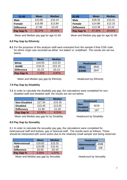| $51 - 60$         | <b>Mean</b> | <b>Median</b> |
|-------------------|-------------|---------------|
| <b>Male</b>       | £23.85      | £16.14        |
| <b>Female</b>     | £15.89      | £12.84        |
| <b>Difference</b> | £7.96       | £3.29         |
| Pay Gap %         | 33.37%      | 20.41%        |

## **6.0 Pay Gap by Ethnicity**

**6.1** For the purposes of this analysis staff were extracted from the sample if their ESR code for ethnic origin was recorded as either 'not stated' or 'undefined'. The results are set out below;

|                   | <b>Mean</b> | <b>Median</b> |
|-------------------|-------------|---------------|
| White             | £16.93      | £15.23        |
| <b>BAME</b>       | £18.15      | £15.10        |
| <b>Difference</b> | $-E1.22$    | £0.13         |
| Pay Gap %         | $-7.20%$    | $-0.87%$      |

Mean and Median pay gap by Ethnicity Headcount by Ethnicity

# **7.0 Pay Gap by Disability**

**7.1** In order to calculate the disability pay gap, the calculations were completed for non disabled staff and disabled staff, the results are set out below;

|                     | <b>Mean</b> | <b>Median</b> |
|---------------------|-------------|---------------|
| <b>Non-Disabled</b> | £17.34      | £15.18        |
| <b>Disabled</b>     | £15.45      | £13.92        |
| <b>Difference</b>   | £1.89       | £1.26         |
| Pay Gap %           | 10.92%      | 8.31%         |

Mean and Median pay gap for by Disability **Headcount by Disability** 

# **8.0 Pay Gap by Sexuality**

8.1 In order to calculate the sexuality pay gap, the calculations were completed for heterosexual staff and lesbian, gay or bisexual staff. The results were as follows. These should be interpreted with some action due to the relatively small sample size being observed.

|                     | Mean   | <b>Median</b> |
|---------------------|--------|---------------|
| <b>Heterosexual</b> | £16.82 | £15.25        |
| LGB                 | £15.89 | £15.41        |
| <b>Difference</b>   | £0.93  | $-£0.16$      |
| Pay Gap %           | 5.55%  | $-1.07\%$     |

Mean and Median pay gap by Sexuality **Headcount by Sexuality** 

| 61-80             | <b>Mean</b> | <b>Median</b> |
|-------------------|-------------|---------------|
| <b>Male</b>       | £28.26      | £15.31        |
| <b>Female</b>     | £14.88      | £12.15        |
| <b>Difference</b> | £13.38      | £3.15         |
| Pay Gap %         | 47.34%      | 20.61%        |

Mean and Median pay gap for age 51-60 Mean and Median pay gap for age 61-80

| White       | 3640 |  |
|-------------|------|--|
| <b>BAME</b> | 2847 |  |
|             |      |  |

**Headcount**

| <b>Headcount</b>        |      |  |
|-------------------------|------|--|
| Non-<br><b>Disabled</b> | 5578 |  |
| <b>Disabled</b>         | 197  |  |

| <b>Headcount</b>    |      |  |
|---------------------|------|--|
| <b>Heterosexual</b> | 4588 |  |
| LGB                 | 108  |  |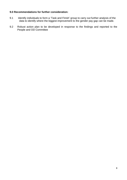## **9.0 Recommendations for further consideration:**

- 9.1 Identify individuals to form a 'Task and Finish' group to carry out further analysis of the data to identify where the biggest improvement to the gender pay gap can be made.
- 9.2 Robust action plan to be developed in response to the findings and reported to the People and OD Committee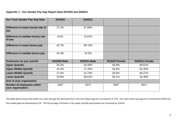## **Appendix 1 - Our Gender Pay Gap Report Data 2019/20 and 2020/21**

| <b>Our Trust Gender Pay Gap Data</b>                   | 2019/20      | 2020/21      |                       |                |
|--------------------------------------------------------|--------------|--------------|-----------------------|----------------|
|                                                        |              |              |                       |                |
| Difference in mean hourly rate of<br>pay               | 27.2%        | 27.09%       |                       |                |
| Difference in median hourly rate<br>of pay             | 9.5%         | 13.67%       |                       |                |
| Difference in mean bonus pay                           | 42.7%        | 48.72%       |                       |                |
| Difference in median bonus pay                         | 34.3%        | 33.3%        |                       |                |
| <b>Employees by pay quartile</b>                       | 2019/20 Male | 2020/21 Male | <b>2019/20 Female</b> | 2020/21 Female |
| <b>Upper Quartile</b>                                  | 34.2%        | 19.39%       | 65.8%                 | 80.61%         |
| <b>Upper Middle Quartile</b>                           | 15.4%        | 17.70%       | 84.6%                 | 82.30%         |
| <b>Lower Middle Quartile</b>                           | 17.4%        | 14.73%       | 82.6%                 | 85.27%         |
| <b>Lower Quartile</b>                                  | 19.9%        | 35.61%       | 80.1%                 | 64.39%         |
| Size of your organisation                              |              |              |                       |                |
| <b>Number of employees within</b><br>your organisation | 1487         | 1572         | 5357                  | 5617           |

The table above shows that whilst our mean pay gap has decreased by 0.11% the median gap has increased by 4.17%. Our mean bonus pay gap has increased by 6.02% and the median gap has decreased by 1%. The Percentage of females in the upper quartile pay bracket has increased by 14.81%.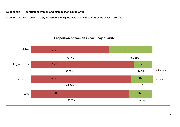## **Appendix 2 – Proportion of women and men in each pay quartile**

In our organisation women occupy **64.39%** of the highest paid jobs and **80.61%** of the lowest paid jobs

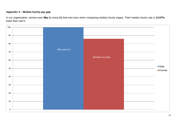# **Appendix 3 – Median hourly pay gap**

In our organisation, women earn **86p** for every **£1** that men earn when comparing median hourly wages. Their median hourly rate is **13.67%** lower than men's